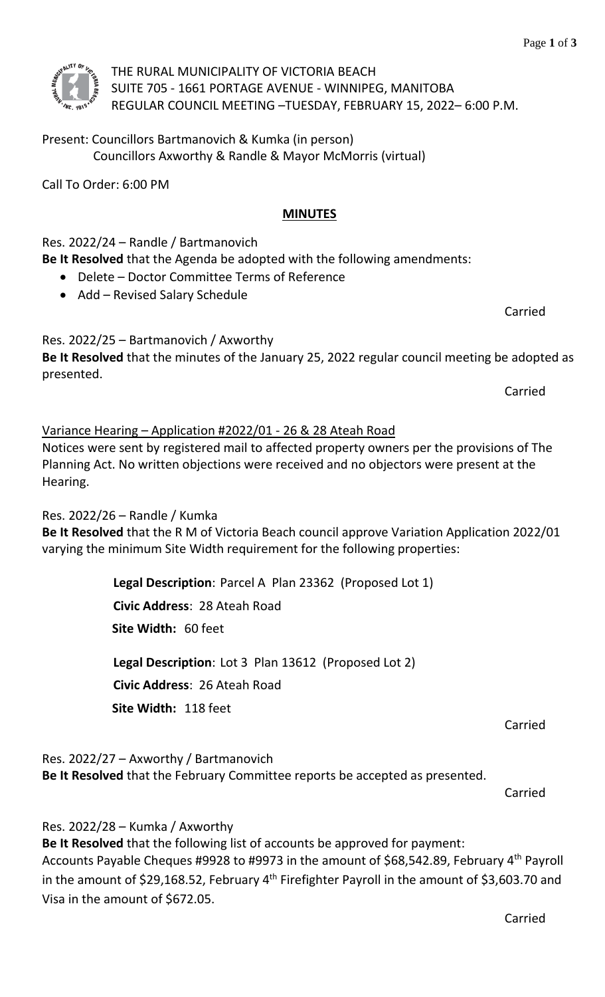THE RURAL MUNICIPALITY OF VICTORIA BEACH SUITE 705 - 1661 PORTAGE AVENUE - WINNIPEG, MANITOBA REGULAR COUNCIL MEETING –TUESDAY, FEBRUARY 15, 2022– 6:00 P.M.

Present: Councillors Bartmanovich & Kumka (in person) Councillors Axworthy & Randle & Mayor McMorris (virtual)

Call To Order: 6:00 PM

#### **MINUTES**

Res. 2022/24 – Randle / Bartmanovich

**Be It Resolved** that the Agenda be adopted with the following amendments:

- Delete Doctor Committee Terms of Reference
- Add Revised Salary Schedule

Res. 2022/25 – Bartmanovich / Axworthy **Be It Resolved** that the minutes of the January 25, 2022 regular council meeting be adopted as presented.

Carried

## Variance Hearing – Application #2022/01 - 26 & 28 Ateah Road

Notices were sent by registered mail to affected property owners per the provisions of The Planning Act. No written objections were received and no objectors were present at the Hearing.

Res. 2022/26 – Randle / Kumka

**Be It Resolved** that the R M of Victoria Beach council approve Variation Application 2022/01 varying the minimum Site Width requirement for the following properties:

**Legal Description**: Parcel A Plan 23362 (Proposed Lot 1)

**Civic Address**: 28 Ateah Road

**Site Width:** 60 feet

**Legal Description**: Lot 3 Plan 13612 (Proposed Lot 2) **Civic Address**: 26 Ateah Road **Site Width:** 118 feet

Carried

Res. 2022/27 – Axworthy / Bartmanovich

**Be It Resolved** that the February Committee reports be accepted as presented.

Carried

Res. 2022/28 – Kumka / Axworthy

**Be It Resolved** that the following list of accounts be approved for payment: Accounts Payable Cheques #9928 to #9973 in the amount of \$68,542.89, February 4<sup>th</sup> Payroll in the amount of \$29,168.52, February 4<sup>th</sup> Firefighter Payroll in the amount of \$3,603.70 and Visa in the amount of \$672.05.



Carried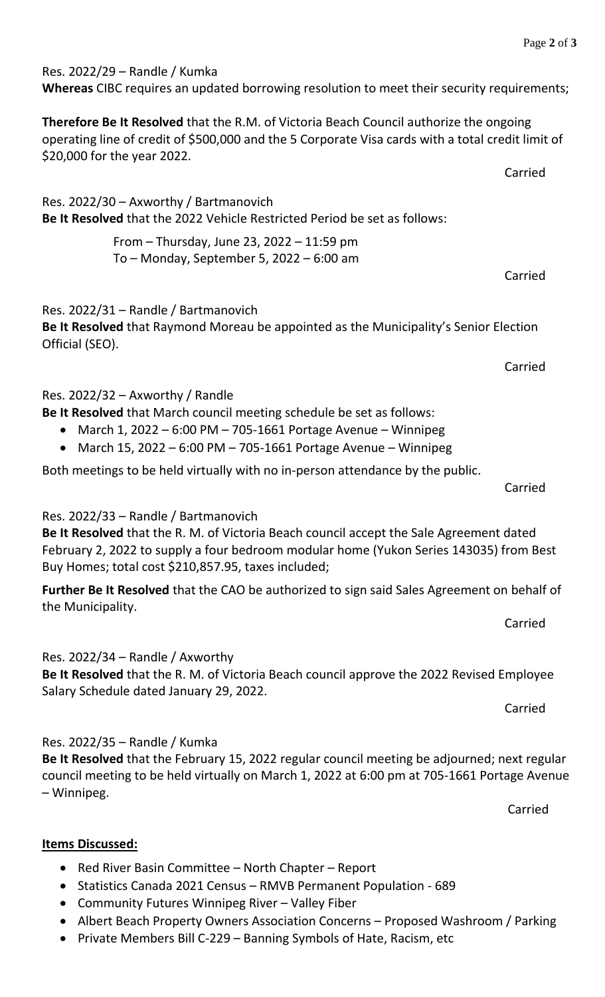Carried

Carried

Carried

Res. 2022/29 – Randle / Kumka

**Whereas** CIBC requires an updated borrowing resolution to meet their security requirements;

**Therefore Be It Resolved** that the R.M. of Victoria Beach Council authorize the ongoing operating line of credit of \$500,000 and the 5 Corporate Visa cards with a total credit limit of \$20,000 for the year 2022.

Res. 2022/30 – Axworthy / Bartmanovich **Be It Resolved** that the 2022 Vehicle Restricted Period be set as follows:

> From – Thursday, June 23, 2022 – 11:59 pm To – Monday, September 5, 2022 – 6:00 am

### Res. 2022/31 – Randle / Bartmanovich

**Be It Resolved** that Raymond Moreau be appointed as the Municipality's Senior Election Official (SEO).

Res. 2022/32 – Axworthy / Randle

- **Be It Resolved** that March council meeting schedule be set as follows:
	- March 1, 2022 6:00 PM 705-1661 Portage Avenue Winnipeg
	- March 15, 2022 6:00 PM 705-1661 Portage Avenue Winnipeg

Both meetings to be held virtually with no in-person attendance by the public.

Carried

#### Res. 2022/33 – Randle / Bartmanovich

**Be It Resolved** that the R. M. of Victoria Beach council accept the Sale Agreement dated February 2, 2022 to supply a four bedroom modular home (Yukon Series 143035) from Best Buy Homes; total cost \$210,857.95, taxes included;

**Further Be It Resolved** that the CAO be authorized to sign said Sales Agreement on behalf of the Municipality.

Carried

Res. 2022/34 – Randle / Axworthy

**Be It Resolved** that the R. M. of Victoria Beach council approve the 2022 Revised Employee Salary Schedule dated January 29, 2022.

Carried

#### Res. 2022/35 – Randle / Kumka

**Be It Resolved** that the February 15, 2022 regular council meeting be adjourned; next regular council meeting to be held virtually on March 1, 2022 at 6:00 pm at 705-1661 Portage Avenue – Winnipeg.

Carried

#### **Items Discussed:**

- Red River Basin Committee North Chapter Report
- Statistics Canada 2021 Census RMVB Permanent Population 689
- Community Futures Winnipeg River Valley Fiber
- Albert Beach Property Owners Association Concerns Proposed Washroom / Parking
- Private Members Bill C-229 Banning Symbols of Hate, Racism, etc